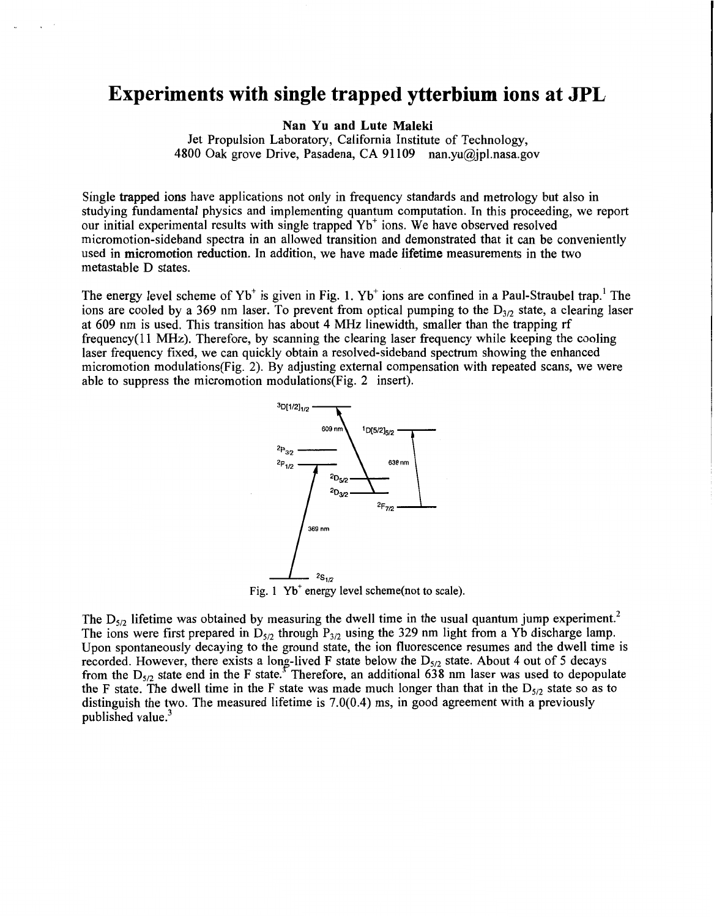## **Experiments with single trapped ytterbium ions at JPL**

**Nan Yu and Lute Maleki** 

Jet Propulsion Laboratory, California Institute of Technology, 4800 Oak grove Drive, Pasadena, CA 91109 nan.vu@jpl.nasa.gov

Single trapped ions have applications not only in frequency standards and metrology but also in studying fundamental physics and implementing quantum computation. In this proceeding, we report our initial experimental results with single trapped Yb' ions. We have observed resolved micromotion-sideband spectra in an allowed transition and demonstrated that it can be conveniently used in micromotion reduction. In addition, we have made lifetime measurements in the two metastable D states.

The energy level scheme of  $Yb^+$  is given in Fig. 1.  $Yb^+$  ions are confined in a Paul-Straubel trap.<sup>1</sup> The ions are cooled by a 369 nm laser. To prevent from optical pumping to the  $D_{3/2}$  state, a clearing laser at 609 nm is used. This transition has about 4 MHz linewidth, smaller than the trapping rf frequency( 11 MHz). Therefore, by scanning the clearing laser frequency while keeping the cooling laser frequency fixed, we can quickly obtain a resolved-sideband spectrum showing the enhanced micromotion modulations(Fig. 2). By adjusting external compensation with repeated scans, we were able to suppress the micromotion modulations(Fig. 2 insert).



Fig. 1 **Yb'** energy level scheme(not **to** scale).

The  $D_{5/2}$  lifetime was obtained by measuring the dwell time in the usual quantum jump experiment.<sup>2</sup> The ions were first prepared in  $D_{5/2}$  through  $P_{3/2}$  using the 329 nm light from a Yb discharge lamp. Upon spontaneously decaying to the ground state, the ion fluorescence resumes and the dwell time is recorded. However, there exists a long-lived F state below the D<sub>5/2</sub> state. About 4 out of 5 decays from the  $D_{5/2}$  state end in the F state.<sup>3</sup> Therefore, an additional 638 nm laser was used to depopulate the F state. The dwell time in the F state was made much longer than that in the  $D_{5/2}$  state so as to distinguish the two. The measured lifetime is 7.0(0.4) ms, in good agreement with a previously published value.<sup>3</sup>